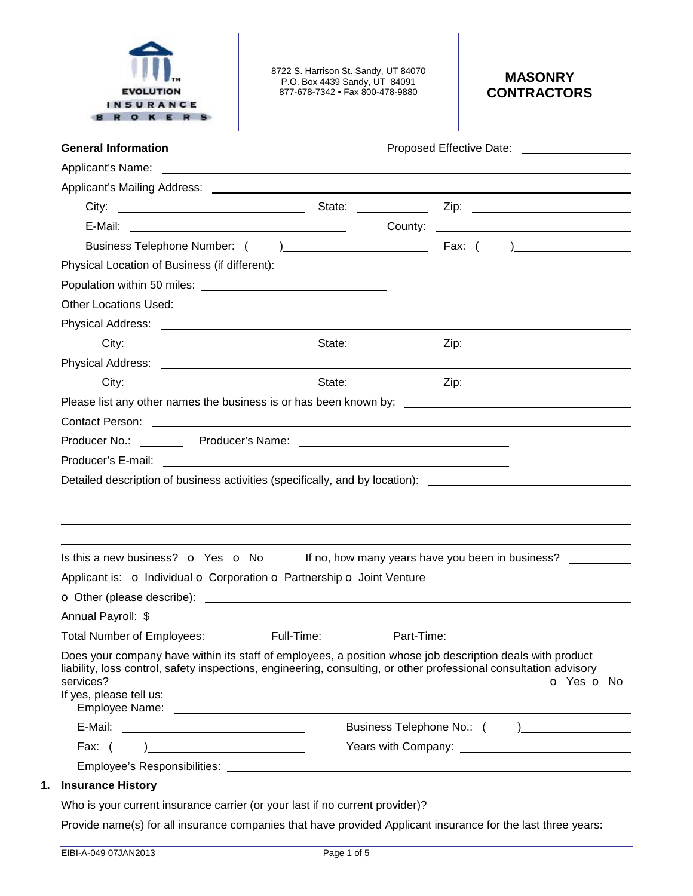

8722 S. Harrison St. Sandy, UT 84070 P.O. Box 4439 Sandy, UT 84091 877-678-7342 • Fax 800-478-9880

## **MASONRY CONTRACTORS**

|                                                                                                                                                                                                                                                                                                                                                                                |                          | Proposed Effective Date: National Assembly Proposed Effective Date: |
|--------------------------------------------------------------------------------------------------------------------------------------------------------------------------------------------------------------------------------------------------------------------------------------------------------------------------------------------------------------------------------|--------------------------|---------------------------------------------------------------------|
|                                                                                                                                                                                                                                                                                                                                                                                |                          |                                                                     |
|                                                                                                                                                                                                                                                                                                                                                                                |                          |                                                                     |
|                                                                                                                                                                                                                                                                                                                                                                                |                          |                                                                     |
|                                                                                                                                                                                                                                                                                                                                                                                |                          | County: <u>__________________________________</u>                   |
|                                                                                                                                                                                                                                                                                                                                                                                |                          |                                                                     |
|                                                                                                                                                                                                                                                                                                                                                                                |                          |                                                                     |
|                                                                                                                                                                                                                                                                                                                                                                                |                          |                                                                     |
| <b>Other Locations Used:</b>                                                                                                                                                                                                                                                                                                                                                   |                          |                                                                     |
|                                                                                                                                                                                                                                                                                                                                                                                |                          |                                                                     |
|                                                                                                                                                                                                                                                                                                                                                                                |                          |                                                                     |
|                                                                                                                                                                                                                                                                                                                                                                                |                          |                                                                     |
|                                                                                                                                                                                                                                                                                                                                                                                |                          |                                                                     |
|                                                                                                                                                                                                                                                                                                                                                                                |                          |                                                                     |
| Contact Person: New York Structure and Structure and Structure and Structure and Structure and Structure and S                                                                                                                                                                                                                                                                 |                          |                                                                     |
|                                                                                                                                                                                                                                                                                                                                                                                |                          |                                                                     |
|                                                                                                                                                                                                                                                                                                                                                                                |                          |                                                                     |
|                                                                                                                                                                                                                                                                                                                                                                                |                          |                                                                     |
|                                                                                                                                                                                                                                                                                                                                                                                |                          |                                                                     |
| Detailed description of business activities (specifically, and by location): ________________________________                                                                                                                                                                                                                                                                  |                          |                                                                     |
|                                                                                                                                                                                                                                                                                                                                                                                |                          |                                                                     |
|                                                                                                                                                                                                                                                                                                                                                                                |                          |                                                                     |
|                                                                                                                                                                                                                                                                                                                                                                                |                          |                                                                     |
| Is this a new business? $\bullet$ Yes $\bullet$ No If no, how many years have you been in business?                                                                                                                                                                                                                                                                            |                          |                                                                     |
|                                                                                                                                                                                                                                                                                                                                                                                |                          |                                                                     |
|                                                                                                                                                                                                                                                                                                                                                                                |                          |                                                                     |
|                                                                                                                                                                                                                                                                                                                                                                                |                          |                                                                     |
| Applicant is: o Individual o Corporation o Partnership o Joint Venture<br>Total Number of Employees:<br>Does your company have within its staff of employees, a position whose job description deals with product<br>liability, loss control, safety inspections, engineering, consulting, or other professional consultation advisory<br>services?<br>If yes, please tell us: | Full-Time:<br>Part-Time: | o Yes o No                                                          |
|                                                                                                                                                                                                                                                                                                                                                                                |                          |                                                                     |
|                                                                                                                                                                                                                                                                                                                                                                                |                          |                                                                     |
| $\frac{1}{2}$ and $\frac{1}{2}$ and $\frac{1}{2}$ and $\frac{1}{2}$ and $\frac{1}{2}$ and $\frac{1}{2}$ and $\frac{1}{2}$ and $\frac{1}{2}$ and $\frac{1}{2}$ and $\frac{1}{2}$ and $\frac{1}{2}$ and $\frac{1}{2}$ and $\frac{1}{2}$ and $\frac{1}{2}$ and $\frac{1}{2}$ and $\frac{1}{2}$ a<br>Fax: $($                                                                      |                          |                                                                     |
| <b>Insurance History</b>                                                                                                                                                                                                                                                                                                                                                       |                          |                                                                     |

#### Provide name(s) for all insurance companies that have provided Applicant insurance for the last three years: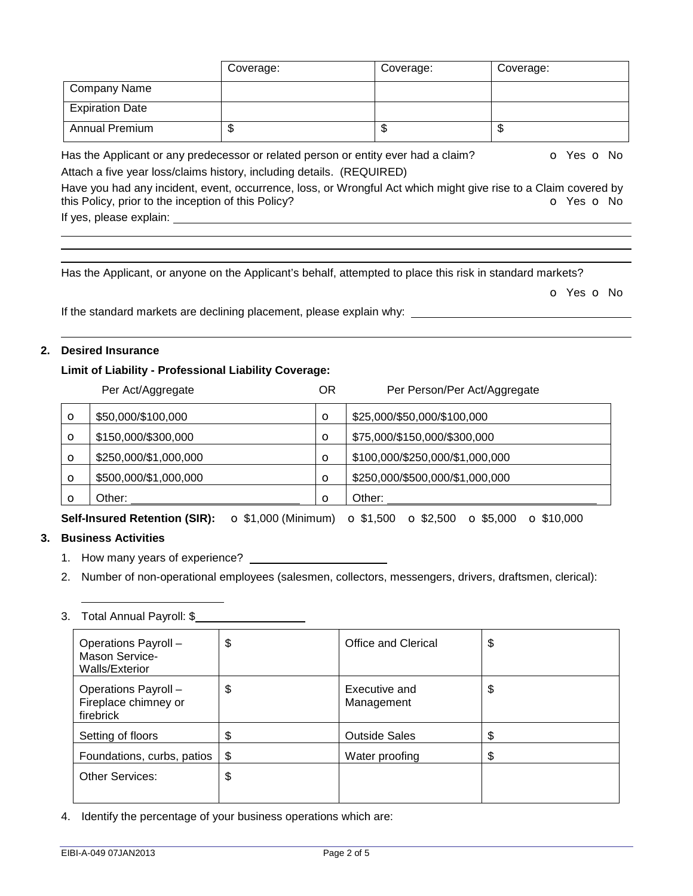|                        | Coverage:                                                             | Coverage:                                                                          | Coverage:  |
|------------------------|-----------------------------------------------------------------------|------------------------------------------------------------------------------------|------------|
| <b>Company Name</b>    |                                                                       |                                                                                    |            |
| <b>Expiration Date</b> |                                                                       |                                                                                    |            |
| <b>Annual Premium</b>  |                                                                       | \$                                                                                 |            |
|                        |                                                                       | Has the Applicant or any predecessor or related person or entity ever had a claim? | O Yes O No |
|                        | Attach a five year loss/claims history, including details. (REQUIRED) |                                                                                    |            |

Have you had any incident, event, occurrence, loss, or Wrongful Act which might give rise to a Claim covered by this Policy, prior to the inception of this Policy? **o Yes o No** 

If yes, please explain:

Has the Applicant, or anyone on the Applicant's behalf, attempted to place this risk in standard markets?

o Yes o No

If the standard markets are declining placement, please explain why:

### **2. Desired Insurance**

#### **Limit of Liability - Professional Liability Coverage:**

|          | Per Act/Aggregate     | ΟR      | Per Person/Per Act/Aggregate    |
|----------|-----------------------|---------|---------------------------------|
| $\circ$  | \$50,000/\$100,000    | $\circ$ | \$25,000/\$50,000/\$100,000     |
| $\circ$  | \$150,000/\$300,000   | $\circ$ | \$75,000/\$150,000/\$300,000    |
| $\circ$  | \$250,000/\$1,000,000 | O       | \$100,000/\$250,000/\$1,000,000 |
| $\circ$  | \$500,000/\$1,000,000 | O       | \$250,000/\$500,000/\$1,000,000 |
| $\Omega$ | Other:                | $\circ$ | Other:                          |

**Self-Insured Retention (SIR):** o \$1,000 (Minimum) o \$1,500 o \$2,500 o \$5,000 o \$10,000

### **3. Business Activities**

- 1. How many years of experience?
- 2. Number of non-operational employees (salesmen, collectors, messengers, drivers, draftsmen, clerical):

# 3. Total Annual Payroll: \$

| Operations Payroll -<br>Mason Service-<br>Walls/Exterior  | \$<br>Office and Clerical         | \$ |
|-----------------------------------------------------------|-----------------------------------|----|
| Operations Payroll -<br>Fireplace chimney or<br>firebrick | \$<br>Executive and<br>Management | \$ |
| Setting of floors                                         | \$<br><b>Outside Sales</b>        | S  |
| Foundations, curbs, patios                                | \$<br>Water proofing              | \$ |
| <b>Other Services:</b>                                    | \$                                |    |

4. Identify the percentage of your business operations which are: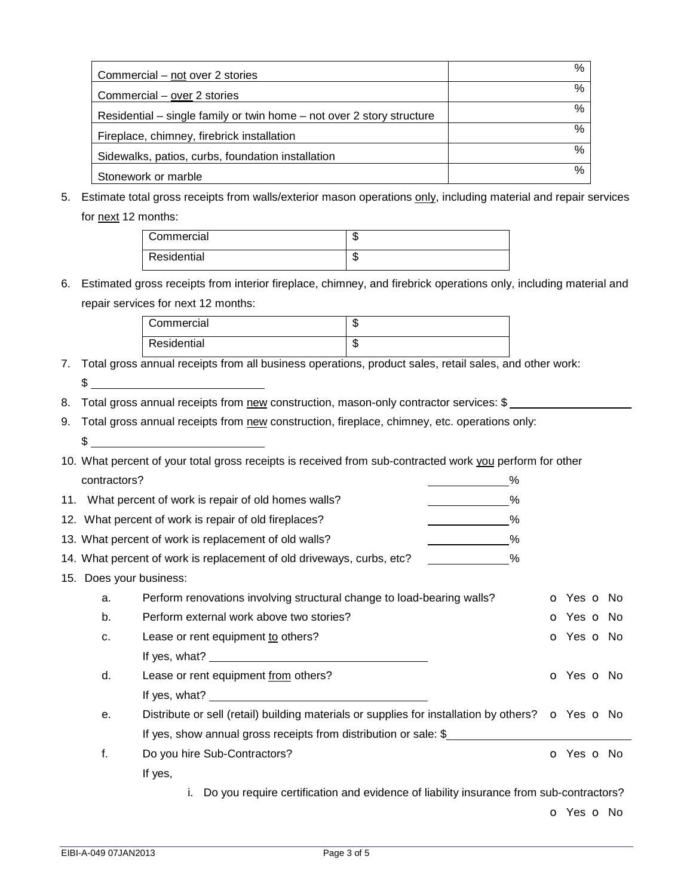| Commercial – not over 2 stories                                       | $\%$ |
|-----------------------------------------------------------------------|------|
| Commercial – over 2 stories                                           | $\%$ |
| Residential – single family or twin home – not over 2 story structure | %    |
| Fireplace, chimney, firebrick installation                            | %    |
| Sidewalks, patios, curbs, foundation installation                     | %    |
| Stonework or marble                                                   | $\%$ |

5. Estimate total gross receipts from walls/exterior mason operations only, including material and repair services for next 12 months:

| Commercial  | æ<br>۰D. |
|-------------|----------|
| Residential | m<br>۰D  |

6. Estimated gross receipts from interior fireplace, chimney, and firebrick operations only, including material and repair services for next 12 months:

| Commercial  | w      |
|-------------|--------|
| Residential | Œ<br>w |

- 7. Total gross annual receipts from all business operations, product sales, retail sales, and other work:  $\frac{1}{2}$
- 8. Total gross annual receipts from new construction, mason-only contractor services: \$
- 9. Total gross annual receipts from new construction, fireplace, chimney, etc. operations only:  $$$
- 10. What percent of your total gross receipts is received from sub-contracted work you perform for other contractors?  $\%$

|                         | 11. What percent of work is repair of old homes walls?<br>%                                                                                                                                                                    |                          |
|-------------------------|--------------------------------------------------------------------------------------------------------------------------------------------------------------------------------------------------------------------------------|--------------------------|
|                         | 12. What percent of work is repair of old fireplaces?<br>%                                                                                                                                                                     |                          |
|                         | 13. What percent of work is replacement of old walls?<br>%                                                                                                                                                                     |                          |
|                         | 14. What percent of work is replacement of old driveways, curbs, etc?<br>%                                                                                                                                                     |                          |
| 15. Does your business: |                                                                                                                                                                                                                                |                          |
| a.                      | Perform renovations involving structural change to load-bearing walls?                                                                                                                                                         | o Yes o No               |
| b.                      | Perform external work above two stories?                                                                                                                                                                                       | o Yes o No               |
| c.                      | Lease or rent equipment to others?                                                                                                                                                                                             | <b>o</b> Yes <b>o</b> No |
|                         | If yes, what? Note that the same state of the state of the state of the state of the state of the state of the state of the state of the state of the state of the state of the state of the state of the state of the state o |                          |
| d.                      | Lease or rent equipment from others?                                                                                                                                                                                           | <b>o</b> Yes <b>o</b> No |
|                         | If yes, what?                                                                                                                                                                                                                  |                          |
| е.                      | Distribute or sell (retail) building materials or supplies for installation by others? $\bullet$ Yes $\bullet$ No                                                                                                              |                          |
|                         | If yes, show annual gross receipts from distribution or sale: \$                                                                                                                                                               |                          |
| f.                      | Do you hire Sub-Contractors?                                                                                                                                                                                                   | <b>o</b> Yes <b>o</b> No |
|                         | If yes,                                                                                                                                                                                                                        |                          |
|                         | Do you require certification and evidence of liability insurance from sub-contractors?                                                                                                                                         |                          |

o Yes o No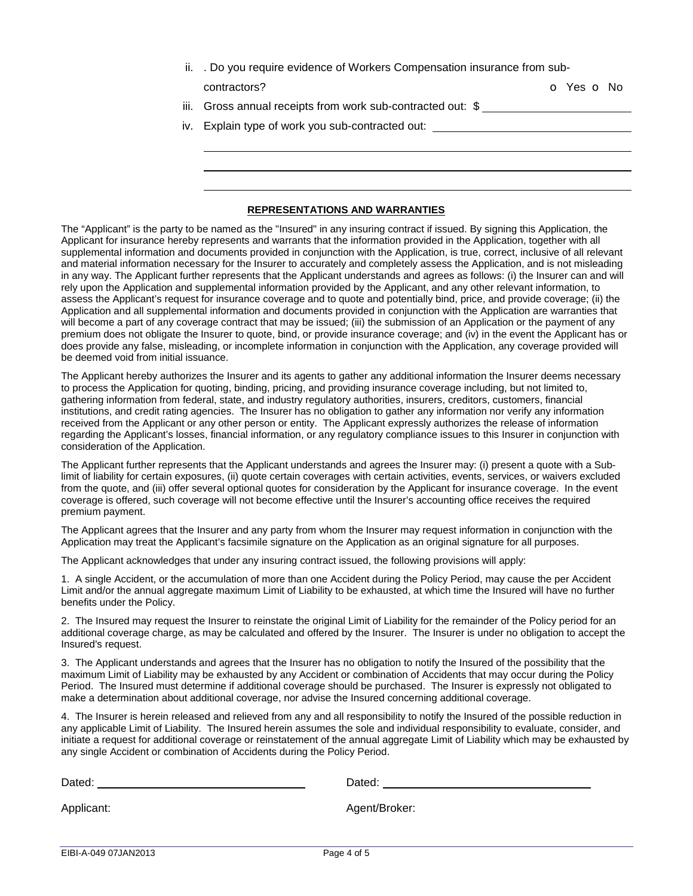ii. . Do you require evidence of Workers Compensation insurance from sub-

| contractors |  |
|-------------|--|

contractors? Contractors? Contractors?

- iii. Gross annual receipts from work sub-contracted out: \$
- iv. Explain type of work you sub-contracted out:

#### **REPRESENTATIONS AND WARRANTIES**

The "Applicant" is the party to be named as the "Insured" in any insuring contract if issued. By signing this Application, the Applicant for insurance hereby represents and warrants that the information provided in the Application, together with all supplemental information and documents provided in conjunction with the Application, is true, correct, inclusive of all relevant and material information necessary for the Insurer to accurately and completely assess the Application, and is not misleading in any way. The Applicant further represents that the Applicant understands and agrees as follows: (i) the Insurer can and will rely upon the Application and supplemental information provided by the Applicant, and any other relevant information, to assess the Applicant's request for insurance coverage and to quote and potentially bind, price, and provide coverage; (ii) the Application and all supplemental information and documents provided in conjunction with the Application are warranties that will become a part of any coverage contract that may be issued; (iii) the submission of an Application or the payment of any premium does not obligate the Insurer to quote, bind, or provide insurance coverage; and (iv) in the event the Applicant has or does provide any false, misleading, or incomplete information in conjunction with the Application, any coverage provided will be deemed void from initial issuance.

The Applicant hereby authorizes the Insurer and its agents to gather any additional information the Insurer deems necessary to process the Application for quoting, binding, pricing, and providing insurance coverage including, but not limited to, gathering information from federal, state, and industry regulatory authorities, insurers, creditors, customers, financial institutions, and credit rating agencies. The Insurer has no obligation to gather any information nor verify any information received from the Applicant or any other person or entity. The Applicant expressly authorizes the release of information regarding the Applicant's losses, financial information, or any regulatory compliance issues to this Insurer in conjunction with consideration of the Application.

The Applicant further represents that the Applicant understands and agrees the Insurer may: (i) present a quote with a Sublimit of liability for certain exposures, (ii) quote certain coverages with certain activities, events, services, or waivers excluded from the quote, and (iii) offer several optional quotes for consideration by the Applicant for insurance coverage. In the event coverage is offered, such coverage will not become effective until the Insurer's accounting office receives the required premium payment.

The Applicant agrees that the Insurer and any party from whom the Insurer may request information in conjunction with the Application may treat the Applicant's facsimile signature on the Application as an original signature for all purposes.

The Applicant acknowledges that under any insuring contract issued, the following provisions will apply:

1. A single Accident, or the accumulation of more than one Accident during the Policy Period, may cause the per Accident Limit and/or the annual aggregate maximum Limit of Liability to be exhausted, at which time the Insured will have no further benefits under the Policy.

2. The Insured may request the Insurer to reinstate the original Limit of Liability for the remainder of the Policy period for an additional coverage charge, as may be calculated and offered by the Insurer. The Insurer is under no obligation to accept the Insured's request.

3. The Applicant understands and agrees that the Insurer has no obligation to notify the Insured of the possibility that the maximum Limit of Liability may be exhausted by any Accident or combination of Accidents that may occur during the Policy Period. The Insured must determine if additional coverage should be purchased. The Insurer is expressly not obligated to make a determination about additional coverage, nor advise the Insured concerning additional coverage.

4. The Insurer is herein released and relieved from any and all responsibility to notify the Insured of the possible reduction in any applicable Limit of Liability. The Insured herein assumes the sole and individual responsibility to evaluate, consider, and initiate a request for additional coverage or reinstatement of the annual aggregate Limit of Liability which may be exhausted by any single Accident or combination of Accidents during the Policy Period.

| Dated:     | Dated:        |
|------------|---------------|
| Applicant: | Agent/Broker: |